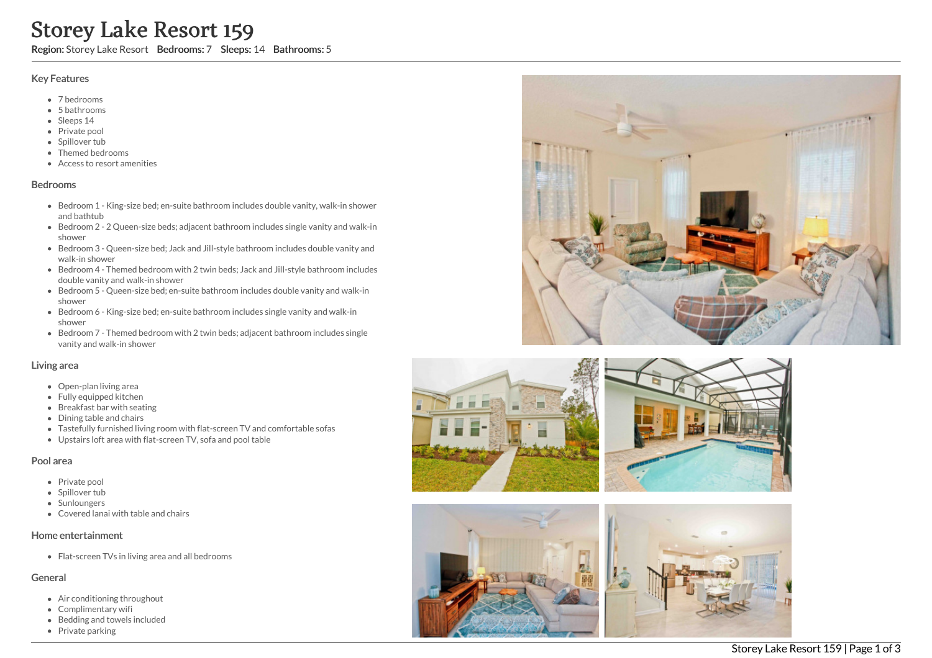# Storey Lake Resort 159

Region: Storey Lake Resort Bedrooms: 7 Sleeps: 14 Bathrooms: 5

#### Key Features

- 7 b e d r o o m s
- 5 b a t h r o o m s
- Sleeps 14
- Private pool
- Spillover tub
- Themed bedr o o m s
- Access to resort amenities

#### **Bedrooms**

- Bedroom 1 King-size bed; en-suite bathroom includes double vanity, walk-in shower and bathtub
- Bedroom 2 2 Queen-size beds; adjacent bathroom includes single vanity and walk-in s h o w e r
- Bedroom 3 Queen-size bed; Jack and Jill-style bathroom includes double vanity and walk-in shower
- Bedroom 4 Themed bedroom with 2 twin beds; Jack and Jill-style bathroom includes d o u ble v a nit y a n d w alk -in s h o w e r
- Bedroom 5 Queen-size bed; en-suite bathroom includes double vanity and walk-in s h o w e r
- Bedroom 6 King-size bed; en-suite bathroom includes single vanity and walk-in s h o w e r
- Bedroom 7 Themed bedroom with 2 twin beds; adjacent bathroom includes single vanity and walk-in shower

#### Living area

- Open-plan living area
- Fully equipped kitchen
- Breakfast bar with seating
- Dining table and chairs
- Tastefully furnished living room with flat-screen TV and comfortable sofas
- Upstairs loft area with flat-screen TV, sofa and pool table

### Pool area

- Private pool
- Spillover tub
- Sunloungers
- Covered lanai with table and chairs

### Home entertainment

Flat-screen TVs in living area and all bedrooms

### General

- Air conditioning throughout
- Complimentary wifi
- Bedding and towels in clu d e d
- Private parking







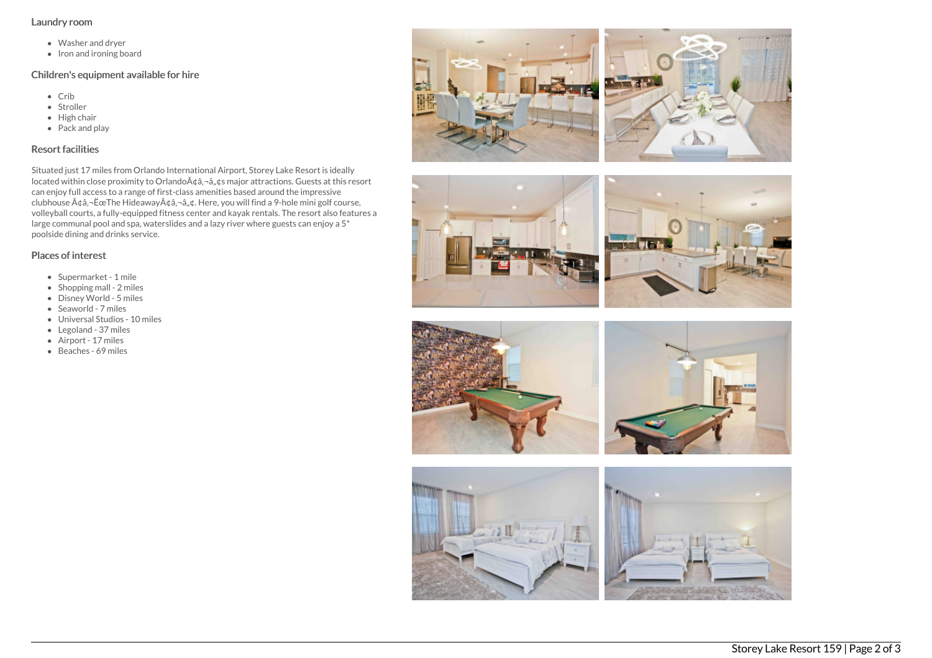## Laundry room

- Washer and dryer
- Iron and ironing board

## Children's equipment available for hire

- Crib
- Stroller
- $\bullet$  High chair
- Pack and play

# Resort facilities

Situated just 17 miles from Orlando International Airport, Storey Lake Resort is ideally located within close proximity to Orlando $A\phi$ ,  $\phi$ ,  $\phi$ s major attractions. Guests at this resort can enjoy full access to a range of first-class amenities based around the impressive clubhouse  $A \phi a$ , - Ëce The Hideaway $A \phi a$ , - $a$ ,  $\phi a$ . Here, you will find a 9-hole mini golf course, volleyball courts, a fully-equipped fitness center and kayak rentals. The resort also features a large communal pool and spa, waterslides and a lazy river where guests can enjoy a 5\* poolside dining and drinks service.

# Places of interest

- Supermarket 1 mile
- $\bullet$  Shopping mall 2 miles
- Disney World 5 miles
- Seaworld 7 miles
- Universal Studios 10 miles
- Legoland 37 miles
- Airport 17 miles
- Beaches 69 miles